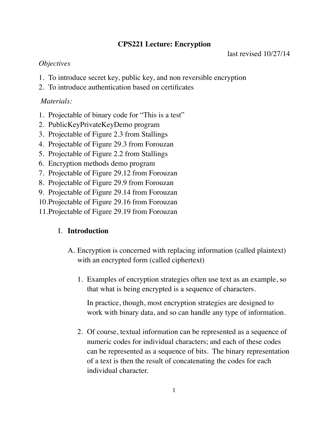## **CPS221 Lecture: Encryption**

last revised 10/27/14

## *Objectives*

- 1. To introduce secret key, public key, and non reversible encryption
- 2. To introduce authentication based on certificates

## *Materials:*

- 1. Projectable of binary code for "This is a test"
- 2. PublicKeyPrivateKeyDemo program
- 3. Projectable of Figure 2.3 from Stallings
- 4. Projectable of Figure 29.3 from Forouzan
- 5. Projectable of Figure 2.2 from Stallings
- 6. Encryption methods demo program
- 7. Projectable of Figure 29.12 from Forouzan
- 8. Projectable of Figure 29.9 from Forouzan
- 9. Projectable of Figure 29.14 from Forouzan
- 10.Projectable of Figure 29.16 from Forouzan
- 11.Projectable of Figure 29.19 from Forouzan

# I. **Introduction**

- A. Encryption is concerned with replacing information (called plaintext) with an encrypted form (called ciphertext)
	- 1. Examples of encryption strategies often use text as an example, so that what is being encrypted is a sequence of characters.

In practice, though, most encryption strategies are designed to work with binary data, and so can handle any type of information.

2. Of course, textual information can be represented as a sequence of numeric codes for individual characters; and each of these codes can be represented as a sequence of bits. The binary representation of a text is then the result of concatenating the codes for each individual character.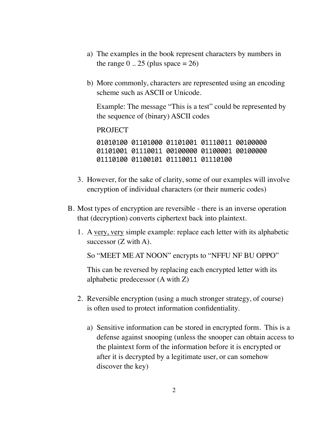- a) The examples in the book represent characters by numbers in the range  $0$  .. 25 (plus space  $= 26$ )
- b) More commonly, characters are represented using an encoding scheme such as ASCII or Unicode.

Example: The message "This is a test" could be represented by the sequence of (binary) ASCII codes

PROJECT

01010100 01101000 01101001 01110011 00100000 01101001 01110011 00100000 01100001 00100000 01110100 01100101 01110011 01110100

- 3. However, for the sake of clarity, some of our examples will involve encryption of individual characters (or their numeric codes)
- B. Most types of encryption are reversible there is an inverse operation that (decryption) converts ciphertext back into plaintext.
	- 1. A very, very simple example: replace each letter with its alphabetic successor (Z with A).

So "MEET ME AT NOON" encrypts to "NFFU NF BU OPPO"

This can be reversed by replacing each encrypted letter with its alphabetic predecessor (A with Z)

- 2. Reversible encryption (using a much stronger strategy, of course) is often used to protect information confidentiality.
	- a) Sensitive information can be stored in encrypted form. This is a defense against snooping (unless the snooper can obtain access to the plaintext form of the information before it is encrypted or after it is decrypted by a legitimate user, or can somehow discover the key)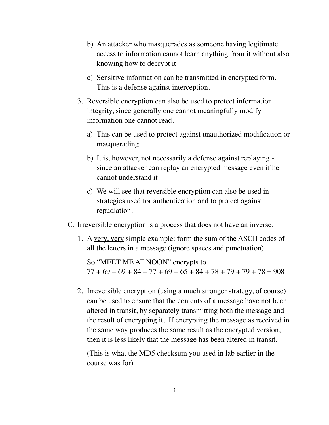- b) An attacker who masquerades as someone having legitimate access to information cannot learn anything from it without also knowing how to decrypt it
- c) Sensitive information can be transmitted in encrypted form. This is a defense against interception.
- 3. Reversible encryption can also be used to protect information integrity, since generally one cannot meaningfully modify information one cannot read.
	- a) This can be used to protect against unauthorized modification or masquerading.
	- b) It is, however, not necessarily a defense against replaying since an attacker can replay an encrypted message even if he cannot understand it!
	- c) We will see that reversible encryption can also be used in strategies used for authentication and to protect against repudiation.
- C. Irreversible encryption is a process that does not have an inverse.
	- 1. A very, very simple example: form the sum of the ASCII codes of all the letters in a message (ignore spaces and punctuation)

So "MEET ME AT NOON" encrypts to  $77 + 69 + 69 + 84 + 77 + 69 + 65 + 84 + 78 + 79 + 79 + 78 = 908$ 

2. Irreversible encryption (using a much stronger strategy, of course) can be used to ensure that the contents of a message have not been altered in transit, by separately transmitting both the message and the result of encrypting it. If encrypting the message as received in the same way produces the same result as the encrypted version, then it is less likely that the message has been altered in transit.

(This is what the MD5 checksum you used in lab earlier in the course was for)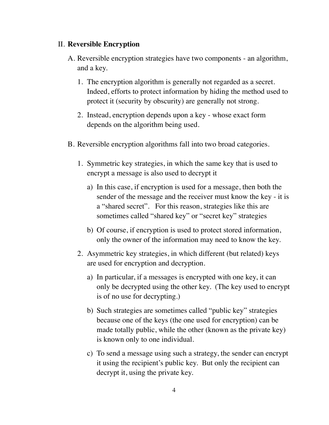#### II. **Reversible Encryption**

- A. Reversible encryption strategies have two components an algorithm, and a key.
	- 1. The encryption algorithm is generally not regarded as a secret. Indeed, efforts to protect information by hiding the method used to protect it (security by obscurity) are generally not strong.
	- 2. Instead, encryption depends upon a key whose exact form depends on the algorithm being used.
- B. Reversible encryption algorithms fall into two broad categories.
	- 1. Symmetric key strategies, in which the same key that is used to encrypt a message is also used to decrypt it
		- a) In this case, if encryption is used for a message, then both the sender of the message and the receiver must know the key - it is a "shared secret". For this reason, strategies like this are sometimes called "shared key" or "secret key" strategies
		- b) Of course, if encryption is used to protect stored information, only the owner of the information may need to know the key.
	- 2. Asymmetric key strategies, in which different (but related) keys are used for encryption and decryption.
		- a) In particular, if a messages is encrypted with one key, it can only be decrypted using the other key. (The key used to encrypt is of no use for decrypting.)
		- b) Such strategies are sometimes called "public key" strategies because one of the keys (the one used for encryption) can be made totally public, while the other (known as the private key) is known only to one individual.
		- c) To send a message using such a strategy, the sender can encrypt it using the recipient's public key. But only the recipient can decrypt it, using the private key.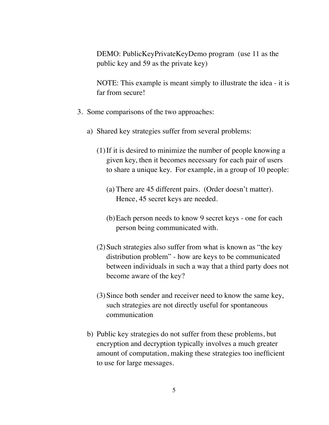DEMO: PublicKeyPrivateKeyDemo program (use 11 as the public key and 59 as the private key)

NOTE: This example is meant simply to illustrate the idea - it is far from secure!

- 3. Some comparisons of the two approaches:
	- a) Shared key strategies suffer from several problems:
		- (1)If it is desired to minimize the number of people knowing a given key, then it becomes necessary for each pair of users to share a unique key. For example, in a group of 10 people:
			- (a) There are 45 different pairs. (Order doesn't matter). Hence, 45 secret keys are needed.
			- (b)Each person needs to know 9 secret keys one for each person being communicated with.
		- (2)Such strategies also suffer from what is known as "the key distribution problem" - how are keys to be communicated between individuals in such a way that a third party does not become aware of the key?
		- (3)Since both sender and receiver need to know the same key, such strategies are not directly useful for spontaneous communication
	- b) Public key strategies do not suffer from these problems, but encryption and decryption typically involves a much greater amount of computation, making these strategies too inefficient to use for large messages.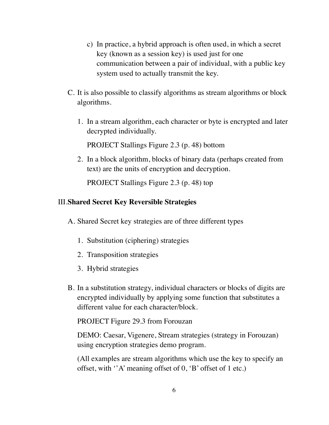- c) In practice, a hybrid approach is often used, in which a secret key (known as a session key) is used just for one communication between a pair of individual, with a public key system used to actually transmit the key.
- C. It is also possible to classify algorithms as stream algorithms or block algorithms.
	- 1. In a stream algorithm, each character or byte is encrypted and later decrypted individually.

PROJECT Stallings Figure 2.3 (p. 48) bottom

2. In a block algorithm, blocks of binary data (perhaps created from text) are the units of encryption and decryption.

PROJECT Stallings Figure 2.3 (p. 48) top

#### III.**Shared Secret Key Reversible Strategies**

- A. Shared Secret key strategies are of three different types
	- 1. Substitution (ciphering) strategies
	- 2. Transposition strategies
	- 3. Hybrid strategies
- B. In a substitution strategy, individual characters or blocks of digits are encrypted individually by applying some function that substitutes a different value for each character/block.

PROJECT Figure 29.3 from Forouzan

DEMO: Caesar, Vigenere, Stream strategies (strategy in Forouzan) using encryption strategies demo program.

(All examples are stream algorithms which use the key to specify an offset, with ''A' meaning offset of 0, 'B' offset of 1 etc.)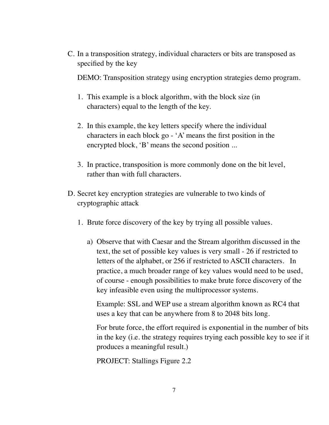C. In a transposition strategy, individual characters or bits are transposed as specified by the key

DEMO: Transposition strategy using encryption strategies demo program.

- 1. This example is a block algorithm, with the block size (in characters) equal to the length of the key.
- 2. In this example, the key letters specify where the individual characters in each block go - 'A' means the first position in the encrypted block, 'B' means the second position ...
- 3. In practice, transposition is more commonly done on the bit level, rather than with full characters.
- D. Secret key encryption strategies are vulnerable to two kinds of cryptographic attack
	- 1. Brute force discovery of the key by trying all possible values.
		- a) Observe that with Caesar and the Stream algorithm discussed in the text, the set of possible key values is very small - 26 if restricted to letters of the alphabet, or 256 if restricted to ASCII characters. In practice, a much broader range of key values would need to be used, of course - enough possibilities to make brute force discovery of the key infeasible even using the multiprocessor systems.

Example: SSL and WEP use a stream algorithm known as RC4 that uses a key that can be anywhere from 8 to 2048 bits long.

For brute force, the effort required is exponential in the number of bits in the key (i.e. the strategy requires trying each possible key to see if it produces a meaningful result.)

PROJECT: Stallings Figure 2.2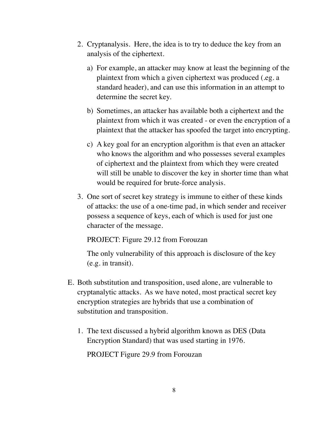- 2. Cryptanalysis. Here, the idea is to try to deduce the key from an analysis of the ciphertext.
	- a) For example, an attacker may know at least the beginning of the plaintext from which a given ciphertext was produced (.eg. a standard header), and can use this information in an attempt to determine the secret key.
	- b) Sometimes, an attacker has available both a ciphertext and the plaintext from which it was created - or even the encryption of a plaintext that the attacker has spoofed the target into encrypting.
	- c) A key goal for an encryption algorithm is that even an attacker who knows the algorithm and who possesses several examples of ciphertext and the plaintext from which they were created will still be unable to discover the key in shorter time than what would be required for brute-force analysis.
- 3. One sort of secret key strategy is immune to either of these kinds of attacks: the use of a one-time pad, in which sender and receiver possess a sequence of keys, each of which is used for just one character of the message.

PROJECT: Figure 29.12 from Forouzan

The only vulnerability of this approach is disclosure of the key (e.g. in transit).

- E. Both substitution and transposition, used alone, are vulnerable to cryptanalytic attacks. As we have noted, most practical secret key encryption strategies are hybrids that use a combination of substitution and transposition.
	- 1. The text discussed a hybrid algorithm known as DES (Data Encryption Standard) that was used starting in 1976. PROJECT Figure 29.9 from Forouzan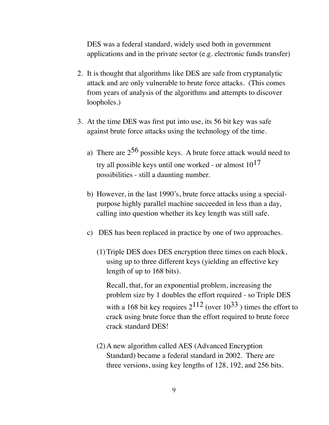DES was a federal standard, widely used both in government applications and in the private sector (e.g. electronic funds transfer)

- 2. It is thought that algorithms like DES are safe from cryptanalytic attack and are only vulnerable to brute force attacks. (This comes from years of analysis of the algorithms and attempts to discover loopholes.)
- 3. At the time DES was first put into use, its 56 bit key was safe against brute force attacks using the technology of the time.
	- a) There are  $2^{56}$  possible keys. A brute force attack would need to try all possible keys until one worked - or almost  $10^{17}$ possibilities - still a daunting number.
	- b) However, in the last 1990's, brute force attacks using a specialpurpose highly parallel machine succeeded in less than a day, calling into question whether its key length was still safe.
	- c) DES has been replaced in practice by one of two approaches.
		- (1)Triple DES does DES encryption three times on each block, using up to three different keys (yielding an effective key length of up to 168 bits).

Recall, that, for an exponential problem, increasing the problem size by 1 doubles the effort required - so Triple DES with a 168 bit key requires  $2^{112}$  (over  $10^{33}$ ) times the effort to crack using brute force than the effort required to brute force crack standard DES!

(2)A new algorithm called AES (Advanced Encryption Standard) became a federal standard in 2002. There are three versions, using key lengths of 128, 192, and 256 bits.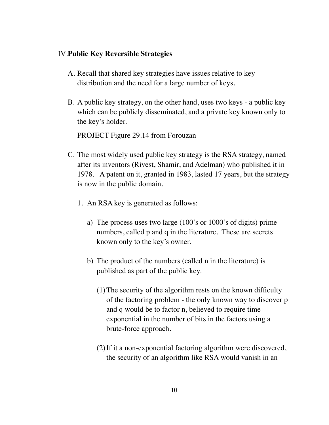#### IV.**Public Key Reversible Strategies**

- A. Recall that shared key strategies have issues relative to key distribution and the need for a large number of keys.
- B. A public key strategy, on the other hand, uses two keys a public key which can be publicly disseminated, and a private key known only to the key's holder.

PROJECT Figure 29.14 from Forouzan

- C. The most widely used public key strategy is the RSA strategy, named after its inventors (Rivest, Shamir, and Adelman) who published it in 1978. A patent on it, granted in 1983, lasted 17 years, but the strategy is now in the public domain.
	- 1. An RSA key is generated as follows:
		- a) The process uses two large (100's or 1000's of digits) prime numbers, called p and q in the literature. These are secrets known only to the key's owner.
		- b) The product of the numbers (called n in the literature) is published as part of the public key.
			- (1)The security of the algorithm rests on the known difficulty of the factoring problem - the only known way to discover p and q would be to factor n, believed to require time exponential in the number of bits in the factors using a brute-force approach.
			- (2)If it a non-exponential factoring algorithm were discovered, the security of an algorithm like RSA would vanish in an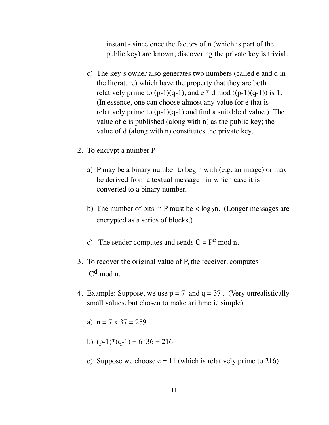instant - since once the factors of n (which is part of the public key) are known, discovering the private key is trivial.

- c) The key's owner also generates two numbers (called e and d in the literature) which have the property that they are both relatively prime to  $(p-1)(q-1)$ , and  $e * d \mod ((p-1)(q-1))$  is 1. (In essence, one can choose almost any value for e that is relatively prime to  $(p-1)(q-1)$  and find a suitable d value.) The value of e is published (along with n) as the public key; the value of d (along with n) constitutes the private key.
- 2. To encrypt a number P
	- a) P may be a binary number to begin with (e.g. an image) or may be derived from a textual message - in which case it is converted to a binary number.
	- b) The number of bits in P must be  $\langle \log_2 n$ . (Longer messages are encrypted as a series of blocks.)
	- c) The sender computes and sends  $C = P^e \mod n$ .
- 3. To recover the original value of P, the receiver, computes  $C^{d}$  mod n.
- 4. Example: Suppose, we use  $p = 7$  and  $q = 37$ . (Very unrealistically small values, but chosen to make arithmetic simple)
	- a)  $n = 7 \times 37 = 259$
	- b)  $(p-1)*(q-1) = 6*36 = 216$
	- c) Suppose we choose  $e = 11$  (which is relatively prime to 216)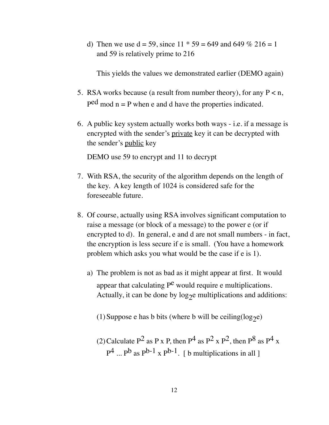d) Then we use  $d = 59$ , since  $11 * 59 = 649$  and  $649 \% 216 = 1$ and 59 is relatively prime to 216

This yields the values we demonstrated earlier (DEMO again)

- 5. RSA works because (a result from number theory), for any  $P < n$ ,  $P<sup>ed</sup>$  mod  $n = P$  when e and d have the properties indicated.
- 6. A public key system actually works both ways i.e. if a message is encrypted with the sender's private key it can be decrypted with the sender's public key

DEMO use 59 to encrypt and 11 to decrypt

- 7. With RSA, the security of the algorithm depends on the length of the key. A key length of 1024 is considered safe for the foreseeable future.
- 8. Of course, actually using RSA involves significant computation to raise a message (or block of a message) to the power e (or if encrypted to d). In general, e and d are not small numbers - in fact, the encryption is less secure if e is small. (You have a homework problem which asks you what would be the case if e is 1).
	- a) The problem is not as bad as it might appear at first. It would appear that calculating  $P^e$  would require e multiplications. Actually, it can be done by  $log_2e$  multiplications and additions:
		- (1) Suppose e has b bits (where b will be ceiling( $log_2e$ )
		- (2) Calculate  $P^2$  as P x P, then  $P^4$  as  $P^2$  x  $P^2$ , then  $P^8$  as  $P^4$  x  $P^4$  ...  $P^b$  as  $P^{b-1}$  x  $P^{b-1}$ . [b multiplications in all ]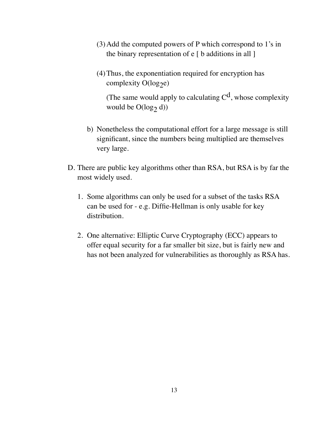- (3)Add the computed powers of P which correspond to 1's in the binary representation of  $e \mid b$  additions in all  $\mid$
- (4)Thus, the exponentiation required for encryption has complexity  $O(log_2e)$

(The same would apply to calculating  $C<sup>d</sup>$ , whose complexity would be  $O(log_2 d)$ 

- b) Nonetheless the computational effort for a large message is still significant, since the numbers being multiplied are themselves very large.
- D. There are public key algorithms other than RSA, but RSA is by far the most widely used.
	- 1. Some algorithms can only be used for a subset of the tasks RSA can be used for - e.g. Diffie-Hellman is only usable for key distribution.
	- 2. One alternative: Elliptic Curve Cryptography (ECC) appears to offer equal security for a far smaller bit size, but is fairly new and has not been analyzed for vulnerabilities as thoroughly as RSA has.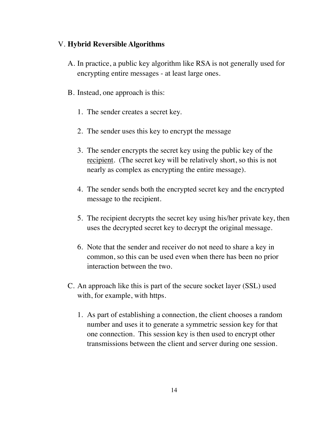### V. **Hybrid Reversible Algorithms**

- A. In practice, a public key algorithm like RSA is not generally used for encrypting entire messages - at least large ones.
- B. Instead, one approach is this:
	- 1. The sender creates a secret key.
	- 2. The sender uses this key to encrypt the message
	- 3. The sender encrypts the secret key using the public key of the recipient. (The secret key will be relatively short, so this is not nearly as complex as encrypting the entire message).
	- 4. The sender sends both the encrypted secret key and the encrypted message to the recipient.
	- 5. The recipient decrypts the secret key using his/her private key, then uses the decrypted secret key to decrypt the original message.
	- 6. Note that the sender and receiver do not need to share a key in common, so this can be used even when there has been no prior interaction between the two.
- C. An approach like this is part of the secure socket layer (SSL) used with, for example, with https.
	- 1. As part of establishing a connection, the client chooses a random number and uses it to generate a symmetric session key for that one connection. This session key is then used to encrypt other transmissions between the client and server during one session.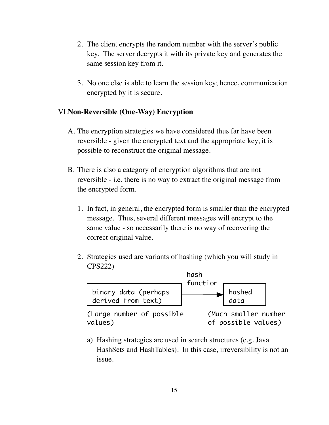- 2. The client encrypts the random number with the server's public key. The server decrypts it with its private key and generates the same session key from it.
- 3. No one else is able to learn the session key; hence, communication encrypted by it is secure.

### VI.**Non-Reversible (One-Way) Encryption**

- A. The encryption strategies we have considered thus far have been reversible - given the encrypted text and the appropriate key, it is possible to reconstruct the original message.
- B. There is also a category of encryption algorithms that are not reversible - i.e. there is no way to extract the original message from the encrypted form.
	- 1. In fact, in general, the encrypted form is smaller than the encrypted message. Thus, several different messages will encrypt to the same value - so necessarily there is no way of recovering the correct original value.
	- 2. Strategies used are variants of hashing (which you will study in CPS222)



a) Hashing strategies are used in search structures (e.g. Java HashSets and HashTables). In this case, irreversibility is not an issue.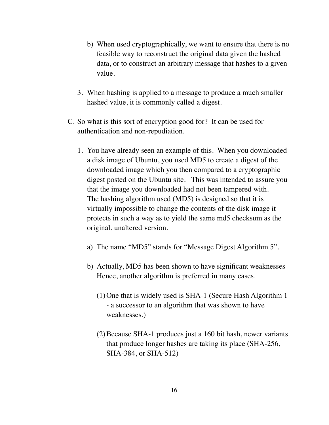- b) When used cryptographically, we want to ensure that there is no feasible way to reconstruct the original data given the hashed data, or to construct an arbitrary message that hashes to a given value.
- 3. When hashing is applied to a message to produce a much smaller hashed value, it is commonly called a digest.
- C. So what is this sort of encryption good for? It can be used for authentication and non-repudiation.
	- 1. You have already seen an example of this. When you downloaded a disk image of Ubuntu, you used MD5 to create a digest of the downloaded image which you then compared to a cryptographic digest posted on the Ubuntu site. This was intended to assure you that the image you downloaded had not been tampered with. The hashing algorithm used (MD5) is designed so that it is virtually impossible to change the contents of the disk image it protects in such a way as to yield the same md5 checksum as the original, unaltered version.
		- a) The name "MD5" stands for "Message Digest Algorithm 5".
		- b) Actually, MD5 has been shown to have significant weaknesses Hence, another algorithm is preferred in many cases.
			- (1)One that is widely used is SHA-1 (Secure Hash Algorithm 1 - a successor to an algorithm that was shown to have weaknesses.)
			- (2)Because SHA-1 produces just a 160 bit hash, newer variants that produce longer hashes are taking its place (SHA-256, SHA-384, or SHA-512)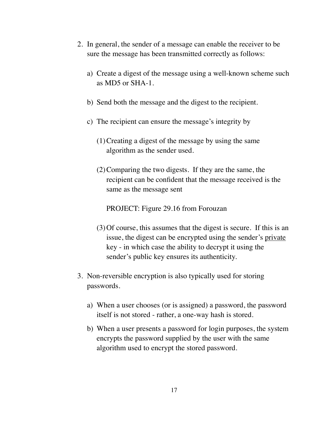- 2. In general, the sender of a message can enable the receiver to be sure the message has been transmitted correctly as follows:
	- a) Create a digest of the message using a well-known scheme such as MD5 or SHA-1.
	- b) Send both the message and the digest to the recipient.
	- c) The recipient can ensure the message's integrity by
		- (1)Creating a digest of the message by using the same algorithm as the sender used.
		- (2)Comparing the two digests. If they are the same, the recipient can be confident that the message received is the same as the message sent

PROJECT: Figure 29.16 from Forouzan

- (3)Of course, this assumes that the digest is secure. If this is an issue, the digest can be encrypted using the sender's private key - in which case the ability to decrypt it using the sender's public key ensures its authenticity.
- 3. Non-reversible encryption is also typically used for storing passwords.
	- a) When a user chooses (or is assigned) a password, the password itself is not stored - rather, a one-way hash is stored.
	- b) When a user presents a password for login purposes, the system encrypts the password supplied by the user with the same algorithm used to encrypt the stored password.